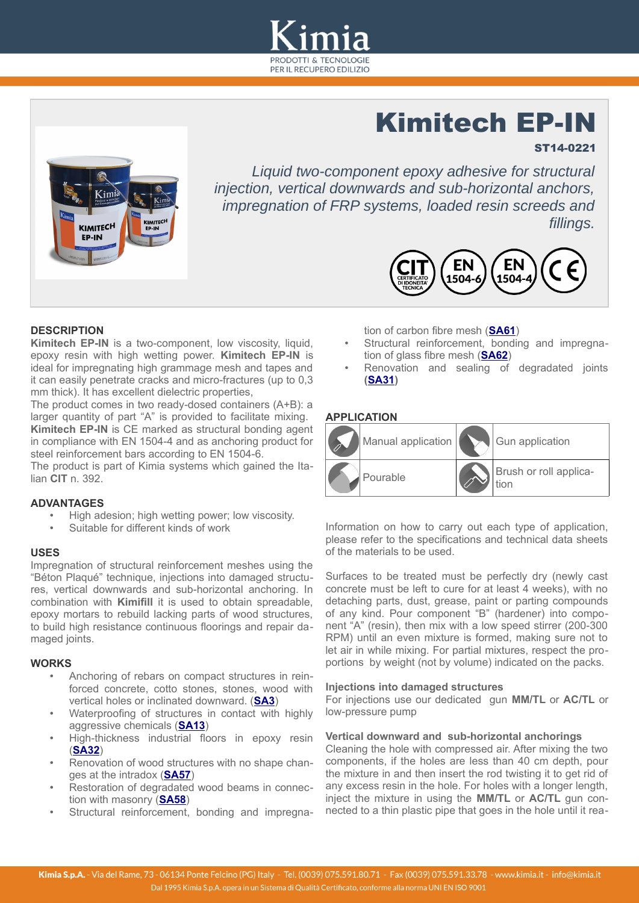

# Kimitech EP-IN

# ST14-0221



*Liquid two-component epoxy adhesive for structural injection, vertical downwards and sub-horizontal anchors, impregnation of FRP systems, loaded resin screeds and fillings.*



# **DESCRIPTION**

**Kimitech EP-IN** is a two-component, low viscosity, liquid, epoxy resin with high wetting power. **Kimitech EP-IN** is ideal for impregnating high grammage mesh and tapes and it can easily penetrate cracks and micro-fractures (up to 0,3 mm thick). It has excellent dielectric properties,

The product comes in two ready-dosed containers (A+B): a larger quantity of part "A" is provided to facilitate mixing. **Kimitech EP-IN** is CE marked as structural bonding agent in compliance with EN 1504-4 and as anchoring product for steel reinforcement bars according to EN 1504-6.

The product is part of Kimia systems which gained the Italian **CIT** n. 392.

# **ADVANTAGES**

- High adesion; high wetting power; low viscosity.
- Suitable for different kinds of work

# **USES**

Impregnation of structural reinforcement meshes using the "Béton Plaqué" technique, injections into damaged structures, vertical downwards and sub-horizontal anchoring. In combination with **Kimifill** it is used to obtain spreadable, epoxy mortars to rebuild lacking parts of wood structures, to build high resistance continuous floorings and repair damaged joints.

# **WORKS**

- Anchoring of rebars on compact structures in reinforced concrete, cotto stones, stones, wood with vertical holes or inclinated downward. (**[SA3](http://www.kimia.it/sites/default/files//docs/sa/en-sa-003.pdf)**)
- Waterproofing of structures in contact with highly aggressive chemicals ( **[SA 1 3](http://www.kimia.it/sites/default/files//docs/sa/en-sa-013.pdf)**)
- High-thickness industrial floors in epoxy resin ( **[SA 32](http://www.kimia.it/sites/default/files//docs/sa/en-sa-032.pdf)**)
- Renovation of wood structures with no shape changes at the intradox (**SA57**)
- Restoration of degradated wood beams in connection with masonry (**SA58**)
- Structural reinforcement, bonding and impregna-

tion of carbon fibre mesh (**SA61**)

- Structural reinforcement, bonding and impregnation of glass fibre mesh (SA62)
- Renovation and sealing of degradated joints **( [SA 31\)](http://www.kimia.it/sites/default/files//docs/sa/en-sa-031.pdf)**

# **APPLICATION**



Information on how to carry out each type of application, please refer to the specifications and technical data sheets of the materials to be used.

Surfaces to be treated must be perfectly dry (newly cast concrete must be left to cure for at least 4 weeks), with no detaching parts, dust, grease, paint or parting compounds of any kind. Pour component "B" (hardener) into component "A" (resin), then mix with a low speed stirrer (200-300 RPM) until an even mixture is formed, making sure not to let air in while mixing. For partial mixtures, respect the proportions by weight (not by volume) indicated on the packs.

#### **Injections into damaged structures**

For injections use our dedicated gun **MM/TL** or **AC/TL** or low-pressure pump

# **Vertical downward and sub-horizontal anchorings**

Cleaning the hole with compressed air. After mixing the two components, if the holes are less than 40 cm depth, pour the mixture in and then insert the rod twisting it to get rid of any excess resin in the hole. For holes with a longer length, inject the mixture in using the **MM/TL** or **AC/TL** gun connected to a thin plastic pipe that goes in the hole until it rea-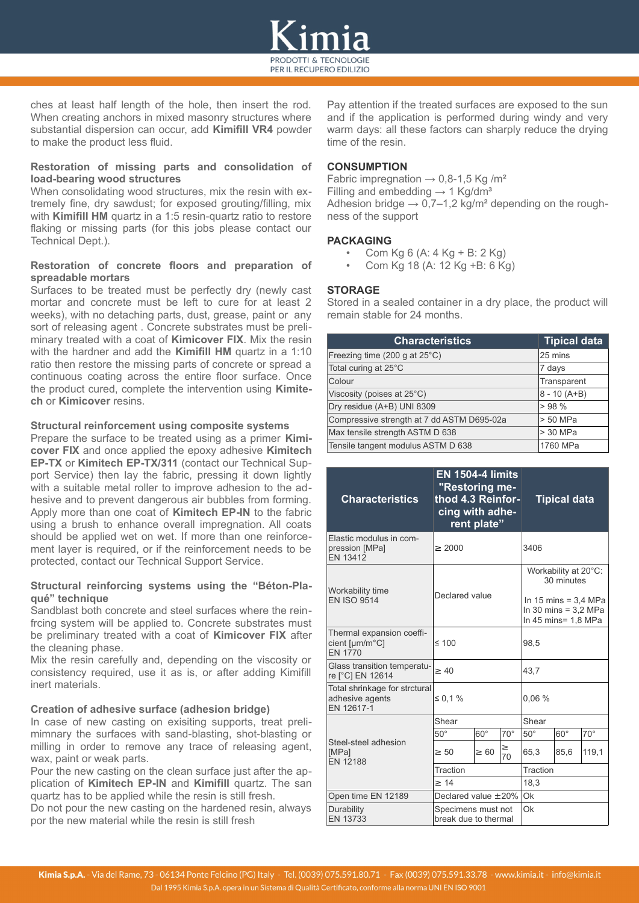

ches at least half length of the hole, then insert the rod. When creating anchors in mixed masonry structures where substantial dispersion can occur, add **Kimifill VR4** powder to make the product less fluid.

#### **Restoration of missing parts and consolidation of load-bearing wood structures**

When consolidating wood structures, mix the resin with extremely fine, dry sawdust; for exposed grouting/filling, mix with **Kimifill HM** quartz in a 1:5 resin-quartz ratio to restore flaking or missing parts (for this jobs please contact our Technical Dept.).

#### **Restoration of concrete floors and preparation of spreadable mortars**

Surfaces to be treated must be perfectly dry (newly cast mortar and concrete must be left to cure for at least 2 weeks), with no detaching parts, dust, grease, paint or any sort of releasing agent . Concrete substrates must be preliminary treated with a coat of **Kimicover FIX**. Mix the resin with the hardner and add the **Kimifill HM** quartz in a 1:10 ratio then restore the missing parts of concrete or spread a continuous coating across the entire floor surface. Once the product cured, complete the intervention using **Kimitech** or **Kimicover** resins.

#### **Structural reinforcement using composite systems**

Prepare the surface to be treated using as a primer **Kimicover FIX** and once applied the epoxy adhesive **Kimitech EP-TX** or **Kimitech EP-TX/311** (contact our Technical Support Service) then lay the fabric, pressing it down lightly with a suitable metal roller to improve adhesion to the adhesive and to prevent dangerous air bubbles from forming. Apply more than one coat of **Kimitech EP-IN** to the fabric using a brush to enhance overall impregnation. All coats should be applied wet on wet. If more than one reinforcement layer is required, or if the reinforcement needs to be protected, contact our Technical Support Service.

#### **Structural reinforcing systems using the "Béton-Plaqué" technique**

Sandblast both concrete and steel surfaces where the reinfrcing system will be applied to. Concrete substrates must be preliminary treated with a coat of **Kimicover FIX** after the cleaning phase.

Mix the resin carefully and, depending on the viscosity or consistency required, use it as is, or after adding Kimifill inert materials.

#### **Creation of adhesive surface (adhesion bridge)**

In case of new casting on exisiting supports, treat prelimimnary the surfaces with sand-blasting, shot-blasting or milling in order to remove any trace of releasing agent, wax, paint or weak parts.

Pour the new casting on the clean surface just after the application of **Kimitech EP-IN** and **Kimifill** quartz. The san quartz has to be applied while the resin is still fresh.

Do not pour the new casting on the hardened resin, always por the new material while the resin is still fresh

Pay attention if the treated surfaces are exposed to the sun and if the application is performed during windy and very warm days: all these factors can sharply reduce the drying time of the resin.

# **CONSUMPTION**

Fabric impregnation  $\rightarrow$  0,8-1,5 Kg /m<sup>2</sup> Filling and embedding  $\rightarrow$  1 Kg/dm<sup>3</sup> Adhesion bridge  $\rightarrow$  0,7–1,2 kg/m<sup>2</sup> depending on the roughness of the support

# **PACKAGING**

- Com Kg 6 (A: 4 Kg + B: 2 Kg)
- Com Kg 18 (A: 12 Kg +B: 6 Kg)

# **STORAGE**

Stored in a sealed container in a dry place, the product will remain stable for 24 months.

| <b>Characteristics</b>                     | <b>Tipical data</b> |
|--------------------------------------------|---------------------|
| Freezing time (200 g at $25^{\circ}$ C)    | 25 mins             |
| Total curing at 25°C                       | 7 days              |
| Colour                                     | Transparent         |
| Viscosity (poises at 25°C)                 | $8 - 10(A+B)$       |
| Dry residue (A+B) UNI 8309                 | >98%                |
| Compressive strength at 7 dd ASTM D695-02a | > 50 MPa            |
| Max tensile strength ASTM D 638            | > 30 MPa            |
| Tensile tangent modulus ASTM D 638         | 1760 MPa            |

| <b>Characteristics</b>                                         | <b>EN 1504-4 limits</b><br>"Restoring me-<br>thod 4.3 Reinfor-<br>cing with adhe-<br>rent plate" |            | <b>Tipical data</b>                                                                                           |              |            |              |
|----------------------------------------------------------------|--------------------------------------------------------------------------------------------------|------------|---------------------------------------------------------------------------------------------------------------|--------------|------------|--------------|
| Elastic modulus in com-<br>pression [MPa]<br>EN 13412          | $\geq 2000$                                                                                      |            | 3406                                                                                                          |              |            |              |
| Workability time<br><b>EN ISO 9514</b>                         | Declared value                                                                                   |            | Workability at 20°C:<br>30 minutes<br>In 15 mins = $3.4$ MPa<br>In 30 mins = $3.2$ MPa<br>In 45 mins= 1,8 MPa |              |            |              |
| Thermal expansion coeffi-<br>cient [µm/m°C]<br><b>FN 1770</b>  | $\leq 100$                                                                                       |            | 98,5                                                                                                          |              |            |              |
| Glass transition temperatu-<br>re [°C] EN 12614                | $\geq 40$                                                                                        |            | 43.7                                                                                                          |              |            |              |
| Total shrinkage for strctural<br>adhesive agents<br>EN 12617-1 | $\leq 0.1 \%$                                                                                    |            | 0.06%                                                                                                         |              |            |              |
|                                                                | Shear                                                                                            |            | Shear                                                                                                         |              |            |              |
|                                                                | $50^{\circ}$                                                                                     | $60^\circ$ | $70^{\circ}$                                                                                                  | $50^{\circ}$ | $60^\circ$ | $70^{\circ}$ |
| Steel-steel adhesion<br>[MPa]<br><b>EN 12188</b>               | $\geq 50$                                                                                        | $\geq 60$  | $\geq$<br>70                                                                                                  | 65,3         | 85,6       | 119,1        |
|                                                                | Traction                                                                                         |            | Traction                                                                                                      |              |            |              |
|                                                                | >14                                                                                              |            | 18,3                                                                                                          |              |            |              |
| Open time EN 12189                                             | Declared value $\pm 20\%$                                                                        |            | Ok                                                                                                            |              |            |              |
| Durability<br>EN 13733                                         | Specimens must not<br>break due to thermal                                                       |            | Ok                                                                                                            |              |            |              |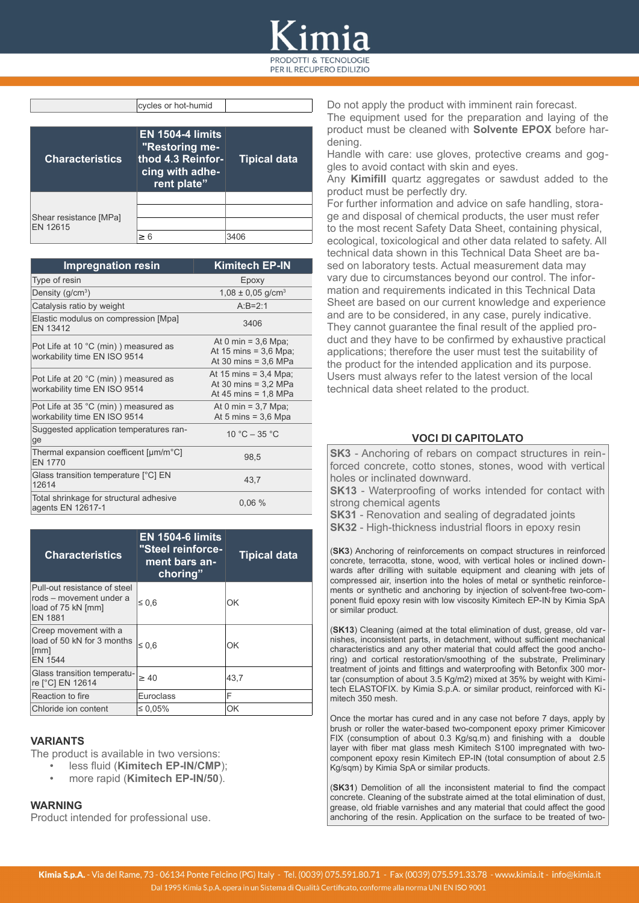# PER IL RECUPERO EDILIZIO

| <b>Characteristics</b>             | <b>EN 1504-4 limits</b><br>"Restoring me-<br>thod 4.3 Reinfor-<br>cing with adhe-<br>rent plate" | <b>Tipical data</b> |
|------------------------------------|--------------------------------------------------------------------------------------------------|---------------------|
| Shear resistance [MPa]<br>EN 12615 | > 6                                                                                              |                     |

cycles or hot-humid

| <b>Impregnation resin</b>                                             | Kimitech EP-IN                                                              |
|-----------------------------------------------------------------------|-----------------------------------------------------------------------------|
| Type of resin                                                         | Epoxy                                                                       |
| Density $(g/cm^3)$                                                    | $1,08 \pm 0,05$ g/cm <sup>3</sup>                                           |
| Catalysis ratio by weight                                             | $A - B = 2 - 1$                                                             |
| Elastic modulus on compression [Mpa]<br>EN 13412                      | 3406                                                                        |
| Pot Life at 10 °C (min) ) measured as<br>workability time EN ISO 9514 | At 0 min = $3,6$ Mpa;<br>At 15 mins = $3.6$ Mpa;<br>At 30 mins = $3.6$ MPa  |
| Pot Life at 20 °C (min) ) measured as<br>workability time EN ISO 9514 | At 15 mins = $3,4$ Mpa;<br>At 30 mins = $3.2$ MPa<br>At 45 mins = $1,8$ MPa |
| Pot Life at 35 °C (min) ) measured as<br>workability time EN ISO 9514 | At 0 min = $3.7$ Mpa;<br>At 5 mins = $3.6$ Mpa                              |
| Suggested application temperatures ran-<br>ge                         | 10 °C $-$ 35 °C                                                             |
| Thermal expansion coefficent [µm/m°C]<br><b>EN 1770</b>               | 98,5                                                                        |
| Glass transition temperature [°C] EN<br>12614                         | 43,7                                                                        |
| Total shrinkage for structural adhesive<br>agents EN 12617-1          | 0.06%                                                                       |

| <b>Characteristics</b>                                                                          | <b>EN 1504-6 limits</b><br>"Steel reinforce-<br>ment bars an-<br>choring" | <b>Tipical data</b> |
|-------------------------------------------------------------------------------------------------|---------------------------------------------------------------------------|---------------------|
| Pull-out resistance of steel<br>rods – movement under a<br>load of 75 kN [mm]<br><b>EN 1881</b> | $\leq 0.6$                                                                | ΩK                  |
| Creep movement with a<br>load of 50 kN for 3 months<br>[mm]<br>FN 1544                          | $\leq 0.6$                                                                | ΩK                  |
| Glass transition temperatu-<br>re [°C] EN 12614                                                 | $\geq 40$                                                                 | 43,7                |
| Reaction to fire                                                                                | Euroclass                                                                 | F                   |
| Chloride ion content                                                                            | $\leq 0.05\%$                                                             | ΟK                  |

# **VARIANTS**

The product is available in two versions:

- less fluid (**Kimitech EP-IN/CMP**);
- more rapid (**Kimitech EP-IN/50**).

#### **WARNING**

Product intended for professional use.

Do not apply the product with imminent rain forecast.

The equipment used for the preparation and laying of the product must be cleaned with **Solvente EPOX** before hardening.

Handle with care: use gloves, protective creams and goggles to avoid contact with skin and eyes.

Any **Kimifill** quartz aggregates or sawdust added to the product must be perfectly dry.

For further information and advice on safe handling, storage and disposal of chemical products, the user must refer to the most recent Safety Data Sheet, containing physical, ecological, toxicological and other data related to safety. All technical data shown in this Technical Data Sheet are based on laboratory tests. Actual measurement data may vary due to circumstances beyond our control. The information and requirements indicated in this Technical Data Sheet are based on our current knowledge and experience and are to be considered, in any case, purely indicative. They cannot guarantee the final result of the applied product and they have to be confirmed by exhaustive practical applications; therefore the user must test the suitability of the product for the intended application and its purpose. Users must always refer to the latest version of the local technical data sheet related to the product.

# **VOCI DI CAPITOLATO**

**SK3** - Anchoring of rebars on compact structures in reinforced concrete, cotto stones, stones, wood with vertical holes or inclinated downward.

**SK13** - Waterproofing of works intended for contact with strong chemical agents

**SK31** - Renovation and sealing of degradated joints

**SK32** - High-thickness industrial floors in epoxy resin

(**SK3**) Anchoring of reinforcements on compact structures in reinforced concrete, terracotta, stone, wood, with vertical holes or inclined downwards after drilling with suitable equipment and cleaning with jets of compressed air, insertion into the holes of metal or synthetic reinforcements or synthetic and anchoring by injection of solvent-free two-component fluid epoxy resin with low viscosity Kimitech EP-IN by Kimia SpA or similar product.

(**SK13**) Cleaning (aimed at the total elimination of dust, grease, old varnishes, inconsistent parts, in detachment, without sufficient mechanical characteristics and any other material that could affect the good anchoring) and cortical restoration/smoothing of the substrate, Preliminary treatment of joints and fittings and waterproofing with Betonfix 300 mortar (consumption of about 3.5 Kg/m2) mixed at 35% by weight with Kimitech ELASTOFIX. by Kimia S.p.A. or similar product, reinforced with Kimitech 350 mesh.

Once the mortar has cured and in any case not before 7 days, apply by brush or roller the water-based two-component epoxy primer Kimicover FIX (consumption of about 0.3 Kg/sq.m) and finishing with a double layer with fiber mat glass mesh Kimitech S100 impregnated with twocomponent epoxy resin Kimitech EP-IN (total consumption of about 2.5 Kg/sqm) by Kimia SpA or similar products.

(**SK31**) Demolition of all the inconsistent material to find the compact concrete. Cleaning of the substrate aimed at the total elimination of dust, grease, old friable varnishes and any material that could affect the good anchoring of the resin. Application on the surface to be treated of two-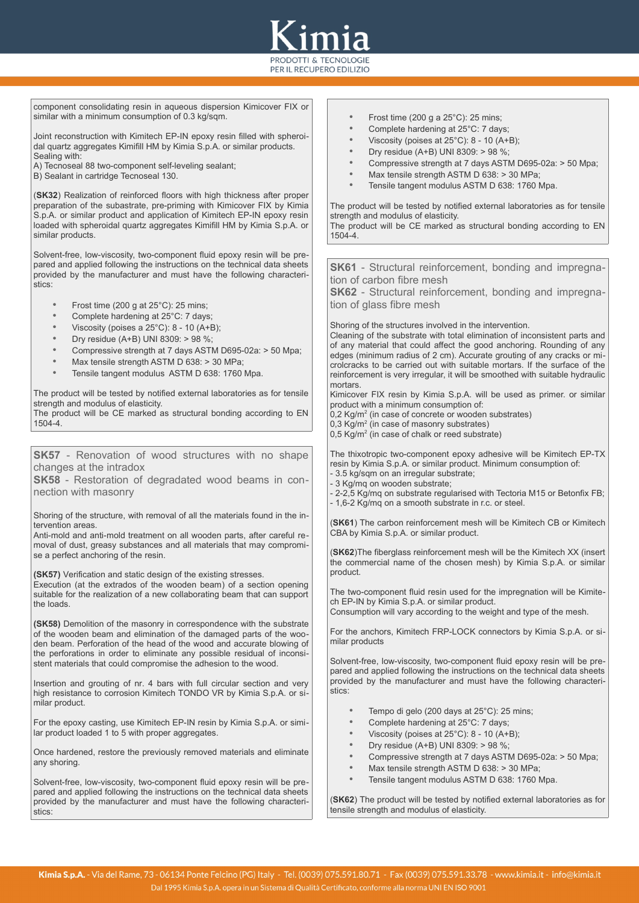

component consolidating resin in aqueous dispersion Kimicover FIX or similar with a minimum consumption of 0.3 kg/sqm.

Joint reconstruction with Kimitech EP-IN epoxy resin filled with spheroidal quartz aggregates Kimifill HM by Kimia S.p.A. or similar products. Sealing with:

- A) Tecnoseal 88 two-component self-leveling sealant;
- B) Sealant in cartridge Tecnoseal 130.

(**SK32**) Realization of reinforced floors with high thickness after proper preparation of the subastrate, pre-priming with Kimicover FIX by Kimia S.p.A. or similar product and application of Kimitech EP-IN epoxy resin loaded with spheroidal quartz aggregates Kimifill HM by Kimia S.p.A. or similar products.

Solvent-free, low-viscosity, two-component fluid epoxy resin will be prepared and applied following the instructions on the technical data sheets provided by the manufacturer and must have the following characteristics:

- Frost time (200 g at 25°C): 25 mins;
- Complete hardening at 25°C: 7 days;
- Viscosity (poises a 25°C): 8 10 (A+B);
- Dry residue (A+B) UNI 8309: > 98 %;
- Compressive strength at 7 days ASTM D695-02a: > 50 Mpa;
- Max tensile strength ASTM D 638: > 30 MPa;
- Tensile tangent modulus ASTM D 638: 1760 Mpa.

The product will be tested by notified external laboratories as for tensile strength and modulus of elasticity.

The product will be CE marked as structural bonding according to EN 1504-4.

**SK57** - Renovation of wood structures with no shape changes at the intradox

**SK58** - Restoration of degradated wood beams in connection with masonry

Shoring of the structure, with removal of all the materials found in the intervention areas.

Anti-mold and anti-mold treatment on all wooden parts, after careful removal of dust, greasy substances and all materials that may compromise a perfect anchoring of the resin.

**(SK57)** Verification and static design of the existing stresses.

Execution (at the extrados of the wooden beam) of a section opening suitable for the realization of a new collaborating beam that can support the loads.

**(SK58)** Demolition of the masonry in correspondence with the substrate of the wooden beam and elimination of the damaged parts of the wooden beam. Perforation of the head of the wood and accurate blowing of the perforations in order to eliminate any possible residual of inconsistent materials that could compromise the adhesion to the wood.

Insertion and grouting of nr. 4 bars with full circular section and very high resistance to corrosion Kimitech TONDO VR by Kimia S.p.A. or similar product.

For the epoxy casting, use Kimitech EP-IN resin by Kimia S.p.A. or similar product loaded 1 to 5 with proper aggregates.

Once hardened, restore the previously removed materials and eliminate any shoring.

Solvent-free, low-viscosity, two-component fluid epoxy resin will be prepared and applied following the instructions on the technical data sheets provided by the manufacturer and must have the following characteristics:

- Frost time (200 g a 25°C): 25 mins;<br>• Complete bardoning at  $25^\circ$ C: 7 dove
- Complete hardening at  $25^{\circ}$ C: 7 days;
- Viscosity (poises at 25°C): 8 10 (A+B);
- Dry residue (A+B) UNI 8309: > 98 %;
- Compressive strength at 7 days ASTM D695-02a: > 50 Mpa;
- Max tensile strength ASTM D 638: > 30 MPa;
- Tensile tangent modulus ASTM D 638: 1760 Mpa.

The product will be tested by notified external laboratories as for tensile strength and modulus of elasticity.

The product will be CE marked as structural bonding according to EN 1504-4.

**SK61** - Structural reinforcement, bonding and impregnation of carbon fibre mesh

**SK62** - Structural reinforcement, bonding and impregnation of glass fibre mesh

Shoring of the structures involved in the intervention.

Cleaning of the substrate with total elimination of inconsistent parts and of any material that could affect the good anchoring. Rounding of any edges (minimum radius of 2 cm). Accurate grouting of any cracks or microlcracks to be carried out with suitable mortars. If the surface of the reinforcement is very irregular, it will be smoothed with suitable hydraulic mortars.

Kimicover FIX resin by Kimia S.p.A. will be used as primer. or similar product with a minimum consumption of:

- 0,2 Kg/m<sup>2</sup> (in case of concrete or wooden substrates)
- 0,3 Kg/m<sup>2</sup> (in case of masonry substrates)
- $0,5$  Kg/m<sup>2</sup> (in case of chalk or reed substrate)

The thixotropic two-component epoxy adhesive will be Kimitech EP-TX resin by Kimia S.p.A. or similar product. Minimum consumption of: - 3.5 kg/sqm on an irregular substrate;

- 3 Kg/mq on wooden substrate;

- 2-2,5 Kg/mq on substrate regularised with Tectoria M15 or Betonfix FB; - 1,6-2 Kg/mq on a smooth substrate in r.c. or steel.

(**SK61**) The carbon reinforcement mesh will be Kimitech CB or Kimitech CBA by Kimia S.p.A. or similar product.

(**SK62**)The fiberglass reinforcement mesh will be the Kimitech XX (insert the commercial name of the chosen mesh) by Kimia S.p.A. or similar product.

The two-component fluid resin used for the impregnation will be Kimitech EP-IN by Kimia S.p.A. or similar product.

Consumption will vary according to the weight and type of the mesh.

For the anchors, Kimitech FRP-LOCK connectors by Kimia S.p.A. or similar products

Solvent-free, low-viscosity, two-component fluid epoxy resin will be prepared and applied following the instructions on the technical data sheets provided by the manufacturer and must have the following characteristics:

- Tempo di gelo (200 days at 25°C): 25 mins;
- Complete hardening at  $25^{\circ}$ C: 7 days;<br>• Viccosity (poises at  $25^{\circ}$ C): 8 10 (A+
- Viscosity (poises at 25°C): 8 10 (A+B);
- Dry residue (A+B) UNI 8309: > 98 %;
- Compressive strength at 7 days ASTM D695-02a: > 50 Mpa;
- Max tensile strength ASTM D 638: > 30 MPa:
- Tensile tangent modulus ASTM D 638: 1760 Mpa.

(**SK62**) The product will be tested by notified external laboratories as for tensile strength and modulus of elasticity.